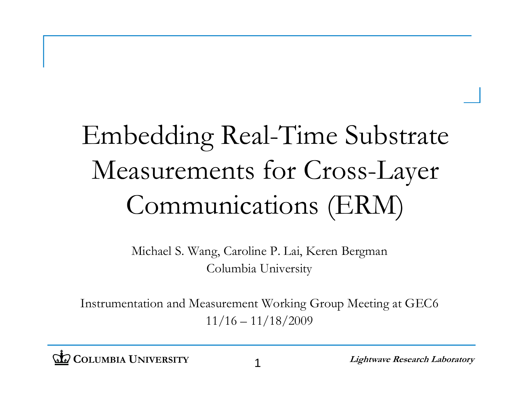#### Embedding Real-Time Substrate Measurements for Cross-Layer Communications (ERM)

Michael S. Wang, Caroline P. Lai, Keren Bergman Columbia University

Instrumentation and Measurement Working Group Meeting at GEC6 11/16 – 11/18/2009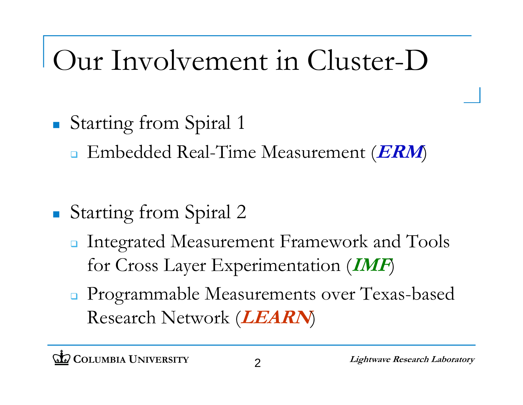### Our Involvement in Cluster-D

- $\Box$  Starting from Spiral <sup>1</sup>
	- Embedded Real-Time Measurement (**ERM**)
- $\Box$  Starting from Spiral 2
	- **n** Integrated Measurement Framework and Tools for Cross Layer Experimentation (**IMF**)
	- **Programmable Measurements over Texas-based** Research Network (**LEARN**)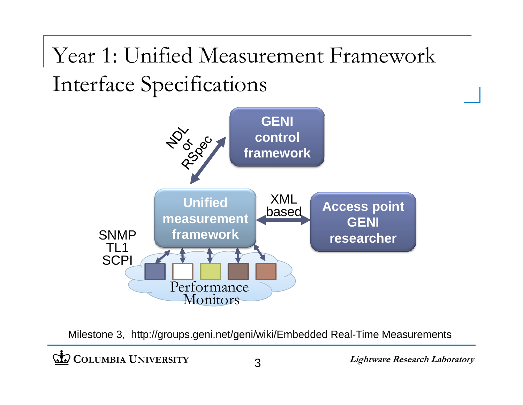Year 1: Unified Measurement Framework Interface Specifications



Milestone 3, http://groups.geni.net/geni/wiki/Embedded Real-Time Measurements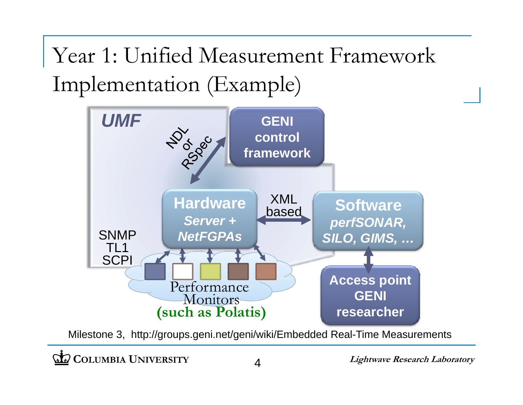Year 1: Unified Measurement Framework Implementation (Example)



Milestone 3, http://groups.geni.net/geni/wiki/Embedded Real-Time Measurements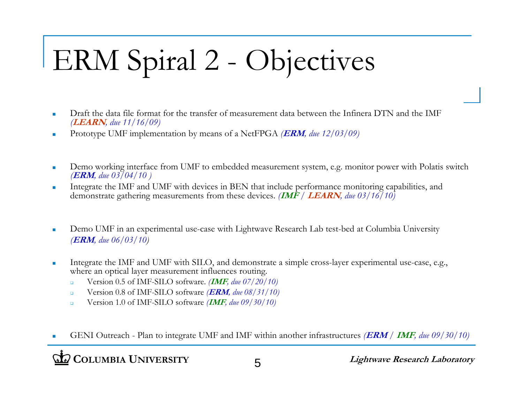## ERM Spiral 2 - Objectives

- $\overline{\phantom{a}}$  Draft the data file format for the transfer of measurement data between the Infinera DTN and the IMF *(***LEARN***, //) due 11/16/09)*
- $\mathcal{L}_{\mathcal{A}}$ Prototype UMF implementation by means of a NetFPGA *(***ERM***, due 12/03/09)*
- $\overline{\phantom{a}}$  Demo working interface from UMF to embedded measurement system, e.g. monitor power with Polatis switch *(***ERM***, due 03/04/10 )*
- $\overline{\phantom{a}}$  Integrate the IMF and UMF with devices in BEN that include performance monitoring capabilities, and demonstrate gathering measurements from these devices. *(***IMF** */* **LEARN***, due 03/16/10)*
- $\overline{\phantom{a}}$ Demo UMF in an experimental use-case with Lightwave Research Lab test-bed at Columbia University *(***ERM***, due 06/03/10)*
- $\overline{\phantom{a}}$  Integrate the IMF and UMF with SILO, and demonstrate a simple cross-layer experimental use-case, e.g., where an optical layer measurement influences routing.
	- $\Box$ Version 0.5 of IMF-SILO software. *(***IMF***, due 07/ / <sup>20</sup> 10)*
	- $\Box$ Version 0.8 of IMF-SILO software *(***ERM***, due 08/31/10)*
	- $\Box$ Version 1.0 of IMF-SILO software *(***IMF***, due 09/30/10)*
- г GENI Outreach - Plan to integrate UMF and IMF within another infrastructures *(***ERM** */* **IMF***, due 09/30/10)*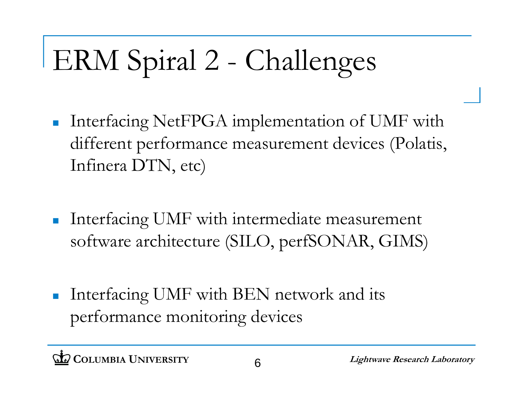# ERM Spiral 2 - Challenges

- $\mathcal{L}_{\mathcal{A}}$  Interfacing NetFPGA implementation of UMF with different performance measurement devices (Polatis, Infinera DTN, etc)
- $\mathcal{L}_{\mathcal{A}}$  Interfacing UMF with intermediate measurement software architecture (SILO, perfSONAR, GIMS)
- $\mathcal{L}_{\mathcal{A}}$  Interfacing UMF with BEN network and its performance monitoring devices